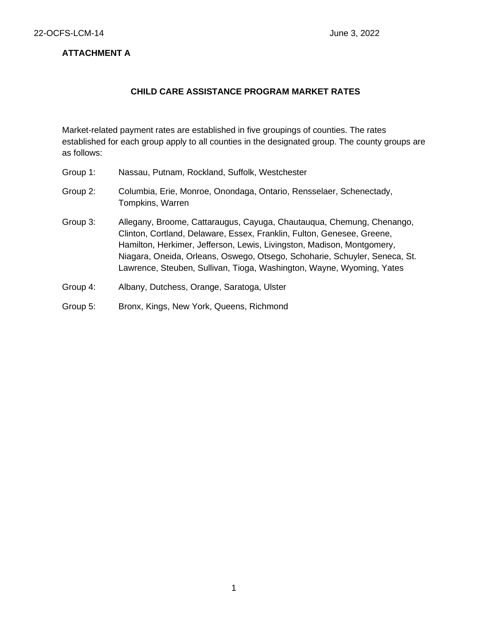### **ATTACHMENT A**

#### **CHILD CARE ASSISTANCE PROGRAM MARKET RATES**

Market-related payment rates are established in five groupings of counties. The rates established for each group apply to all counties in the designated group. The county groups are as follows:

- Group 1: Nassau, Putnam, Rockland, Suffolk, Westchester
- Group 2: Columbia, Erie, Monroe, Onondaga, Ontario, Rensselaer, Schenectady, Tompkins, Warren
- Group 3: Allegany, Broome, Cattaraugus, Cayuga, Chautauqua, Chemung, Chenango, Clinton, Cortland, Delaware, Essex, Franklin, Fulton, Genesee, Greene, Hamilton, Herkimer, Jefferson, Lewis, Livingston, Madison, Montgomery, Niagara, Oneida, Orleans, Oswego, Otsego, Schoharie, Schuyler, Seneca, St. Lawrence, Steuben, Sullivan, Tioga, Washington, Wayne, Wyoming, Yates
- Group 4: Albany, Dutchess, Orange, Saratoga, Ulster
- Group 5: Bronx, Kings, New York, Queens, Richmond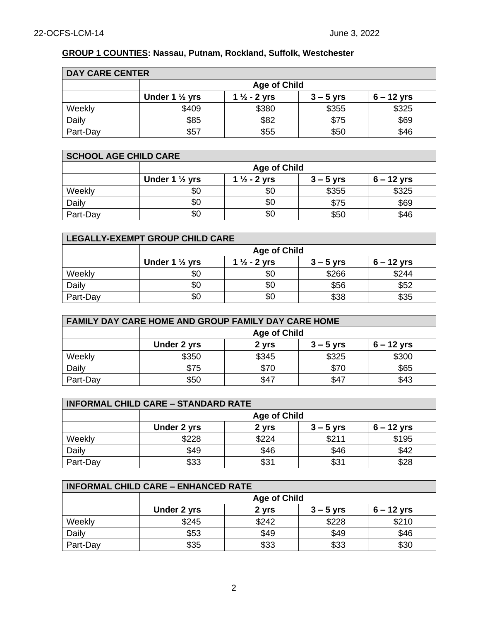# **GROUP 1 COUNTIES: Nassau, Putnam, Rockland, Suffolk, Westchester**

| <b>DAY CARE CENTER</b> |                           |                         |             |              |
|------------------------|---------------------------|-------------------------|-------------|--------------|
|                        | <b>Age of Child</b>       |                         |             |              |
|                        | Under 1 $\frac{1}{2}$ yrs | 1 $\frac{1}{2}$ - 2 yrs | $3 - 5$ yrs | $6 - 12$ yrs |
| Weekly                 | \$409                     | \$380                   | \$355       | \$325        |
| Daily                  | \$85                      | \$82                    | \$75        | \$69         |
| Part-Day               | \$57                      | \$55                    | \$50        | \$46         |

| <b>SCHOOL AGE CHILD CARE</b> |                           |                         |             |              |
|------------------------------|---------------------------|-------------------------|-------------|--------------|
|                              | <b>Age of Child</b>       |                         |             |              |
|                              | Under 1 $\frac{1}{2}$ yrs | 1 $\frac{1}{2}$ - 2 yrs | $3 - 5$ yrs | $6 - 12$ yrs |
| Weekly                       | \$0                       | \$0                     | \$355       | \$325        |
| Daily                        | \$0                       | \$0                     | \$75        | \$69         |
| Part-Day                     | \$0                       | \$0                     | \$50        | \$46         |

| <b>LEGALLY-EXEMPT GROUP CHILD CARE</b> |                                                                                     |     |       |       |  |
|----------------------------------------|-------------------------------------------------------------------------------------|-----|-------|-------|--|
|                                        | <b>Age of Child</b>                                                                 |     |       |       |  |
|                                        | Under 1 $\frac{1}{2}$ yrs<br>$6 - 12$ yrs<br>1 $\frac{1}{2}$ - 2 yrs<br>$3 - 5$ yrs |     |       |       |  |
| Weekly                                 | \$0                                                                                 | \$0 | \$266 | \$244 |  |
| Daily                                  | \$0                                                                                 | \$0 | \$56  | \$52  |  |
| Part-Day                               | \$0                                                                                 | \$0 | \$38  | \$35  |  |

| <b>FAMILY DAY CARE HOME AND GROUP FAMILY DAY CARE HOME</b> |                                                   |       |       |       |  |
|------------------------------------------------------------|---------------------------------------------------|-------|-------|-------|--|
|                                                            | <b>Age of Child</b>                               |       |       |       |  |
|                                                            | 6 – 12 yrs<br>Under 2 yrs<br>$3 - 5$ yrs<br>2 yrs |       |       |       |  |
| Weekly                                                     | \$350                                             | \$345 | \$325 | \$300 |  |
| Daily                                                      | \$75                                              | \$70  | \$70  | \$65  |  |
| Part-Day                                                   | \$50                                              | \$47  | \$47  | \$43  |  |

| <b>INFORMAL CHILD CARE - STANDARD RATE</b> |                                                     |       |       |       |  |
|--------------------------------------------|-----------------------------------------------------|-------|-------|-------|--|
|                                            | <b>Age of Child</b>                                 |       |       |       |  |
|                                            | $6 - 12$ yrs<br>Under 2 yrs<br>$3 - 5$ yrs<br>2 yrs |       |       |       |  |
| Weekly                                     | \$228                                               | \$224 | \$211 | \$195 |  |
| Daily                                      | \$49                                                | \$46  | \$46  | \$42  |  |
| Part-Day                                   | \$33                                                | \$31  | \$31  | \$28  |  |

| <b>INFORMAL CHILD CARE - ENHANCED RATE</b> |                     |       |             |              |
|--------------------------------------------|---------------------|-------|-------------|--------------|
|                                            | <b>Age of Child</b> |       |             |              |
|                                            | Under 2 yrs         | 2 yrs | $3 - 5$ yrs | $6 - 12$ yrs |
| Weekly                                     | \$245               | \$242 | \$228       | \$210        |
| Daily                                      | \$53                | \$49  | \$49        | \$46         |
| Part-Day                                   | \$35                | \$33  | \$33        | \$30         |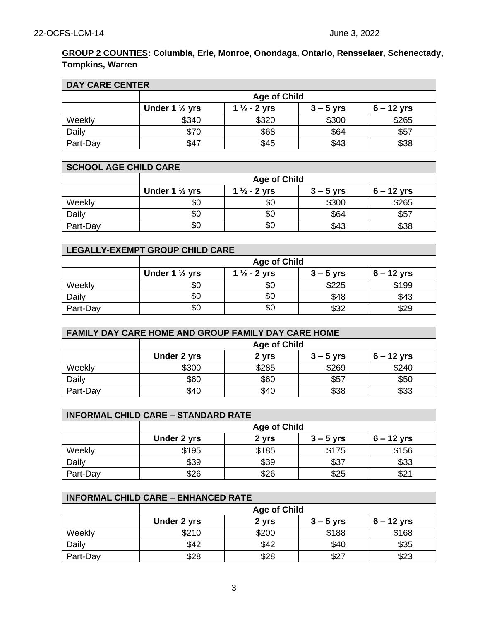### **GROUP 2 COUNTIES: Columbia, Erie, Monroe, Onondaga, Ontario, Rensselaer, Schenectady, Tompkins, Warren**

| <b>DAY CARE CENTER</b> |                           |                         |             |              |
|------------------------|---------------------------|-------------------------|-------------|--------------|
|                        | <b>Age of Child</b>       |                         |             |              |
|                        | Under 1 $\frac{1}{2}$ yrs | 1 $\frac{1}{2}$ - 2 yrs | $3 - 5$ yrs | $6 - 12$ yrs |
| Weekly                 | \$340                     | \$320                   | \$300       | \$265        |
| Daily                  | \$70                      | \$68                    | \$64        | \$57         |
| Part-Day               | \$47                      | \$45                    | \$43        | \$38         |

| <b>SCHOOL AGE CHILD CARE</b> |                           |                         |             |              |
|------------------------------|---------------------------|-------------------------|-------------|--------------|
|                              | <b>Age of Child</b>       |                         |             |              |
|                              | Under 1 $\frac{1}{2}$ yrs | 1 $\frac{1}{2}$ - 2 yrs | $3 - 5$ yrs | $6 - 12$ yrs |
| Weekly                       | \$0                       | \$0                     | \$300       | \$265        |
| Daily                        | \$0                       | \$0                     | \$64        | \$57         |
| Part-Day                     | \$0                       | \$0                     | \$43        | \$38         |

| LEGALLY-EXEMPT GROUP CHILD CARE |                                                                                     |     |       |       |  |
|---------------------------------|-------------------------------------------------------------------------------------|-----|-------|-------|--|
|                                 | <b>Age of Child</b>                                                                 |     |       |       |  |
|                                 | Under 1 $\frac{1}{2}$ yrs<br>1 $\frac{1}{2}$ - 2 yrs<br>$6 - 12$ yrs<br>$3 - 5$ yrs |     |       |       |  |
| Weekly                          | \$0                                                                                 | \$0 | \$225 | \$199 |  |
| Daily                           | \$0                                                                                 | \$0 | \$48  | \$43  |  |
| Part-Day                        | \$0                                                                                 | \$0 | \$32  | \$29  |  |

| FAMILY DAY CARE HOME AND GROUP FAMILY DAY CARE HOME |                                                     |       |       |       |  |
|-----------------------------------------------------|-----------------------------------------------------|-------|-------|-------|--|
|                                                     | <b>Age of Child</b>                                 |       |       |       |  |
|                                                     | Under 2 yrs<br>$6 - 12$ yrs<br>$3 - 5$ yrs<br>2 yrs |       |       |       |  |
| Weekly                                              | \$300                                               | \$285 | \$269 | \$240 |  |
| Daily                                               | \$60                                                | \$60  | \$57  | \$50  |  |
| Part-Day                                            | \$40                                                | \$40  | \$38  | \$33  |  |

| <b>INFORMAL CHILD CARE - STANDARD RATE</b> |                                                     |       |       |       |  |
|--------------------------------------------|-----------------------------------------------------|-------|-------|-------|--|
|                                            | <b>Age of Child</b>                                 |       |       |       |  |
|                                            | $6 - 12$ yrs<br>Under 2 yrs<br>$3 - 5$ yrs<br>2 yrs |       |       |       |  |
| Weekly                                     | \$195                                               | \$185 | \$175 | \$156 |  |
| Daily                                      | \$39                                                | \$39  | \$37  | \$33  |  |
| Part-Day                                   | \$26                                                | \$26  | \$25  | \$21  |  |

| <b>INFORMAL CHILD CARE - ENHANCED RATE</b> |                                                     |       |       |       |  |
|--------------------------------------------|-----------------------------------------------------|-------|-------|-------|--|
|                                            | <b>Age of Child</b>                                 |       |       |       |  |
|                                            | $6 - 12$ yrs<br>Under 2 yrs<br>$3 - 5$ yrs<br>2 yrs |       |       |       |  |
| Weekly                                     | \$210                                               | \$200 | \$188 | \$168 |  |
| Daily                                      | \$42                                                | \$42  | \$40  | \$35  |  |
| Part-Day                                   | \$28                                                | \$28  | \$27  | \$23  |  |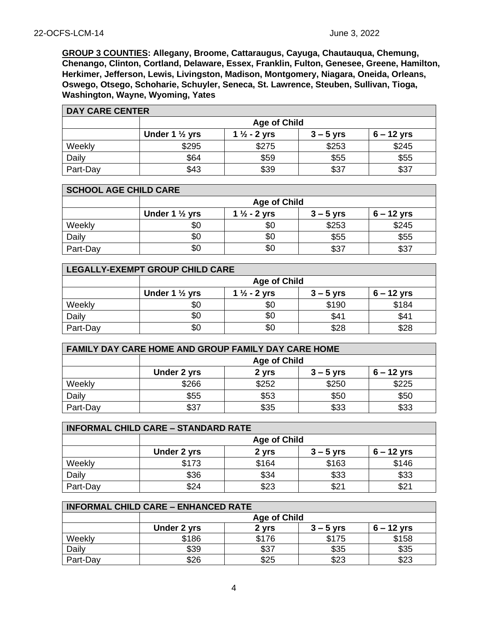**GROUP 3 COUNTIES: Allegany, Broome, Cattaraugus, Cayuga, Chautauqua, Chemung, Chenango, Clinton, Cortland, Delaware, Essex, Franklin, Fulton, Genesee, Greene, Hamilton, Herkimer, Jefferson, Lewis, Livingston, Madison, Montgomery, Niagara, Oneida, Orleans, Oswego, Otsego, Schoharie, Schuyler, Seneca, St. Lawrence, Steuben, Sullivan, Tioga, Washington, Wayne, Wyoming, Yates**

| <b>DAY CARE CENTER</b> |                           |                         |             |              |
|------------------------|---------------------------|-------------------------|-------------|--------------|
|                        | <b>Age of Child</b>       |                         |             |              |
|                        | Under 1 $\frac{1}{2}$ yrs | 1 $\frac{1}{2}$ - 2 yrs | $3 - 5$ yrs | $6 - 12$ yrs |
| Weekly                 | \$295                     | \$275                   | \$253       | \$245        |
| Daily                  | \$64                      | \$59                    | \$55        | \$55         |
| Part-Day               | \$43                      | \$39                    | \$37        | \$37         |

| <b>SCHOOL AGE CHILD CARE</b> |                           |                         |             |              |  |  |
|------------------------------|---------------------------|-------------------------|-------------|--------------|--|--|
|                              |                           | <b>Age of Child</b>     |             |              |  |  |
|                              | Under 1 $\frac{1}{2}$ yrs | 1 $\frac{1}{2}$ - 2 yrs | $3 - 5$ yrs | $6 - 12$ yrs |  |  |
| Weekly                       | \$0                       | \$0                     | \$253       | \$245        |  |  |
| Daily                        | \$0                       | \$0                     | \$55        | \$55         |  |  |
| Part-Day                     | \$0                       | \$0                     | \$37        | \$37         |  |  |

| LEGALLY-EXEMPT GROUP CHILD CARE |                                                                                     |     |       |       |  |  |
|---------------------------------|-------------------------------------------------------------------------------------|-----|-------|-------|--|--|
|                                 | <b>Age of Child</b>                                                                 |     |       |       |  |  |
|                                 | Under 1 $\frac{1}{2}$ yrs<br>1 $\frac{1}{2}$ - 2 yrs<br>$6 - 12$ yrs<br>$3 - 5$ yrs |     |       |       |  |  |
| Weekly                          | \$0                                                                                 | \$0 | \$190 | \$184 |  |  |
| Daily                           | \$0                                                                                 | \$0 | \$41  | \$41  |  |  |
| Part-Day                        | \$0                                                                                 | \$0 | \$28  | \$28  |  |  |

| FAMILY DAY CARE HOME AND GROUP FAMILY DAY CARE HOME |                                                     |       |       |       |  |
|-----------------------------------------------------|-----------------------------------------------------|-------|-------|-------|--|
|                                                     | <b>Age of Child</b>                                 |       |       |       |  |
|                                                     | Under 2 yrs<br>$6 - 12$ yrs<br>2 yrs<br>$3 - 5$ yrs |       |       |       |  |
| Weekly                                              | \$266                                               | \$252 | \$250 | \$225 |  |
| Daily                                               | \$55                                                | \$53  | \$50  | \$50  |  |
| Part-Day                                            | \$37                                                | \$35  | \$33  | \$33  |  |

| <b>INFORMAL CHILD CARE - STANDARD RATE</b> |                                                     |       |       |       |  |
|--------------------------------------------|-----------------------------------------------------|-------|-------|-------|--|
|                                            | <b>Age of Child</b>                                 |       |       |       |  |
|                                            | $6 - 12$ yrs<br>Under 2 yrs<br>$3 - 5$ yrs<br>2 yrs |       |       |       |  |
| Weekly                                     | \$173                                               | \$164 | \$163 | \$146 |  |
| Daily                                      | \$36                                                | \$34  | \$33  | \$33  |  |
| Part-Day                                   | \$24                                                | \$23  | \$21  | \$21  |  |

| <b>INFORMAL CHILD CARE - ENHANCED RATE</b> |             |                     |             |              |  |  |
|--------------------------------------------|-------------|---------------------|-------------|--------------|--|--|
|                                            |             | <b>Age of Child</b> |             |              |  |  |
|                                            | Under 2 yrs | 2 yrs               | $3 - 5$ yrs | $6 - 12$ yrs |  |  |
| Weekly                                     | \$186       | \$176               | \$175       | \$158        |  |  |
| Daily                                      | \$39        | \$37                | \$35        | \$35         |  |  |
| Part-Day                                   | \$26        | \$25                | \$23        | \$23         |  |  |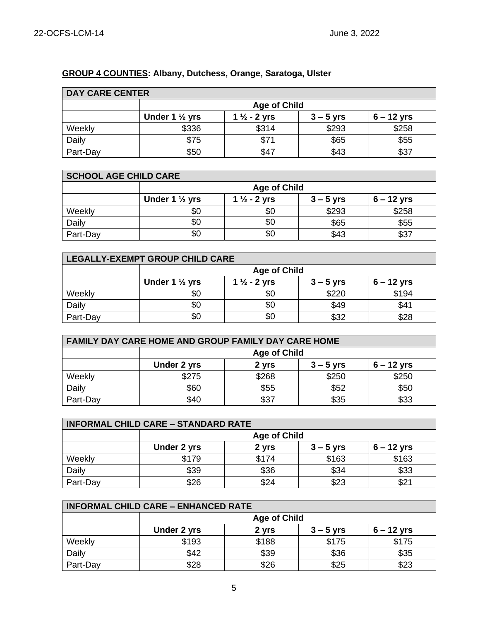# **GROUP 4 COUNTIES: Albany, Dutchess, Orange, Saratoga, Ulster**

| <b>DAY CARE CENTER</b> |                           |                         |             |              |  |
|------------------------|---------------------------|-------------------------|-------------|--------------|--|
|                        | <b>Age of Child</b>       |                         |             |              |  |
|                        | Under 1 $\frac{1}{2}$ yrs | 1 $\frac{1}{2}$ - 2 yrs | $3 - 5$ yrs | $6 - 12$ yrs |  |
| Weekly                 | \$336                     | \$314                   | \$293       | \$258        |  |
| Daily                  | \$75                      | \$71                    | \$65        | \$55         |  |
| Part-Day               | \$50                      | \$47                    | \$43        | \$37         |  |

| <b>SCHOOL AGE CHILD CARE</b> |                           |                         |             |              |
|------------------------------|---------------------------|-------------------------|-------------|--------------|
|                              | <b>Age of Child</b>       |                         |             |              |
|                              | Under 1 $\frac{1}{2}$ yrs | 1 $\frac{1}{2}$ - 2 yrs | $3 - 5$ yrs | $6 - 12$ yrs |
| Weekly                       | \$0                       | \$0                     | \$293       | \$258        |
| Daily                        | \$0                       | \$0                     | \$65        | \$55         |
| Part-Day                     | \$0                       | \$0                     | \$43        | \$37         |

| LEGALLY-EXEMPT GROUP CHILD CARE |                                                                                     |     |       |       |  |
|---------------------------------|-------------------------------------------------------------------------------------|-----|-------|-------|--|
|                                 | <b>Age of Child</b>                                                                 |     |       |       |  |
|                                 | Under 1 $\frac{1}{2}$ yrs<br>1 $\frac{1}{2}$ - 2 yrs<br>$6 - 12$ yrs<br>$3 - 5$ yrs |     |       |       |  |
| Weekly                          | \$0                                                                                 | \$0 | \$220 | \$194 |  |
| Daily                           | \$0                                                                                 |     | \$49  | \$41  |  |
| Part-Day                        | \$0                                                                                 | \$0 | \$32  | \$28  |  |

| <b>FAMILY DAY CARE HOME AND GROUP FAMILY DAY CARE HOME</b> |                                                     |       |       |       |  |
|------------------------------------------------------------|-----------------------------------------------------|-------|-------|-------|--|
|                                                            | <b>Age of Child</b>                                 |       |       |       |  |
|                                                            | Under 2 yrs<br>$6 - 12$ yrs<br>$3 - 5$ yrs<br>2 yrs |       |       |       |  |
| Weekly                                                     | \$275                                               | \$268 | \$250 | \$250 |  |
| Daily                                                      | \$60                                                | \$55  | \$52  | \$50  |  |
| Part-Day                                                   | \$40                                                | \$37  | \$35  | \$33  |  |

| <b>INFORMAL CHILD CARE - STANDARD RATE</b> |                                                     |       |       |       |  |
|--------------------------------------------|-----------------------------------------------------|-------|-------|-------|--|
|                                            | <b>Age of Child</b>                                 |       |       |       |  |
|                                            | $6 - 12$ yrs<br>Under 2 yrs<br>$3 - 5$ yrs<br>2 yrs |       |       |       |  |
| Weekly                                     | \$179                                               | \$174 | \$163 | \$163 |  |
| Daily                                      | \$39                                                | \$36  | \$34  | \$33  |  |
| Part-Day                                   | \$26                                                | \$24  | \$23  | \$21  |  |

| <b>INFORMAL CHILD CARE - ENHANCED RATE</b> |                                                     |       |       |       |  |
|--------------------------------------------|-----------------------------------------------------|-------|-------|-------|--|
|                                            | <b>Age of Child</b>                                 |       |       |       |  |
|                                            | $6 - 12$ yrs<br>Under 2 yrs<br>2 yrs<br>$3 - 5$ yrs |       |       |       |  |
| Weekly                                     | \$193                                               | \$188 | \$175 | \$175 |  |
| Daily                                      | \$42                                                | \$39  | \$36  | \$35  |  |
| Part-Day                                   | \$28                                                | \$26  | \$25  | \$23  |  |